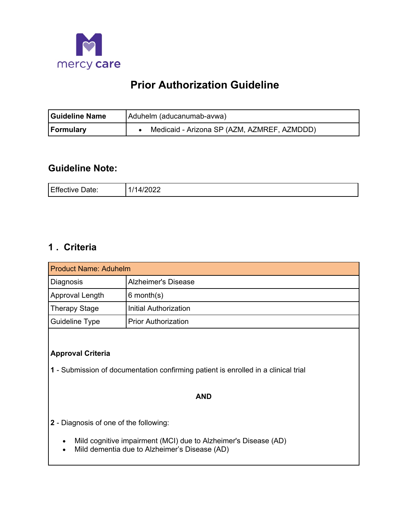

# **Prior Authorization Guideline**

| <b>Guideline Name</b> | Aduhelm (aducanumab-avwa)                   |  |
|-----------------------|---------------------------------------------|--|
| <b>Formulary</b>      | Medicaid - Arizona SP (AZM, AZMREF, AZMDDD) |  |

# **Guideline Note:**

| Effective | $\Lambda$ |
|-----------|-----------|
| )ate:     | ◡∸←       |
|           | _____     |

# **1 . Criteria**

| <b>Product Name: Aduhelm</b> |                            |  |
|------------------------------|----------------------------|--|
| Diagnosis                    | <b>Alzheimer's Disease</b> |  |
| Approval Length              | $6$ month $(s)$            |  |
| <b>Therapy Stage</b>         | Initial Authorization      |  |
| <b>Guideline Type</b>        | l Prior Authorization      |  |

# **Approval Criteria**

**1** - Submission of documentation confirming patient is enrolled in a clinical trial

#### **AND**

- **2**  Diagnosis of one of the following:
	- Mild cognitive impairment (MCI) due to Alzheimer's Disease (AD)
	- Mild dementia due to Alzheimer's Disease (AD)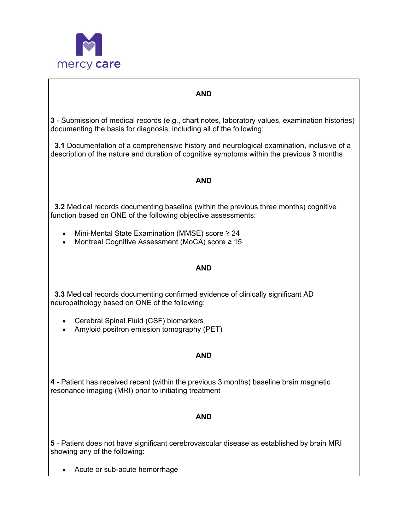

### **AND**

**3** - Submission of medical records (e.g., chart notes, laboratory values, examination histories) documenting the basis for diagnosis, including all of the following:

**3.1** Documentation of a comprehensive history and neurological examination, inclusive of a description of the nature and duration of cognitive symptoms within the previous 3 months

### **AND**

**3.2** Medical records documenting baseline (within the previous three months) cognitive function based on ONE of the following objective assessments:

- Mini-Mental State Examination (MMSE) score ≥ 24
- Montreal Cognitive Assessment (MoCA) score ≥ 15

#### **AND**

**3.3** Medical records documenting confirmed evidence of clinically significant AD neuropathology based on ONE of the following:

- Cerebral Spinal Fluid (CSF) biomarkers
- Amyloid positron emission tomography (PET)

### **AND**

**4** - Patient has received recent (within the previous 3 months) baseline brain magnetic resonance imaging (MRI) prior to initiating treatment

### **AND**

**5** - Patient does not have significant cerebrovascular disease as established by brain MRI showing any of the following:

• Acute or sub-acute hemorrhage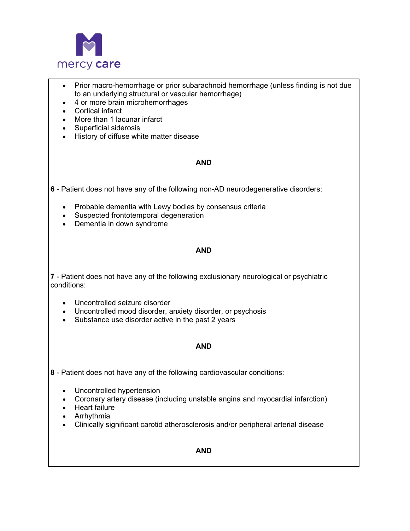

- Prior macro-hemorrhage or prior subarachnoid hemorrhage (unless finding is not due to an underlying structural or vascular hemorrhage)
- $\bullet$ • 4 or more brain microhemorrhages
- $\bullet$ Cortical infarct
- More than 1 lacunar infarct
- $\bullet$ • Superficial siderosis
- $\bullet$ • History of diffuse white matter disease

#### **AND**

**6** - Patient does not have any of the following non-AD neurodegenerative disorders:

- $\bullet$ • Probable dementia with Lewy bodies by consensus criteria
- Suspected frontotemporal degeneration
- Dementia in down syndrome

#### **AND**

**7** - Patient does not have any of the following exclusionary neurological or psychiatric conditions:

- $\bullet$ Uncontrolled seizure disorder
- Uncontrolled mood disorder, anxiety disorder, or psychosis
- Substance use disorder active in the past 2 years

#### **AND**

- **8**  Patient does not have any of the following cardiovascular conditions:
	- Uncontrolled hypertension
	- Coronary artery disease (including unstable angina and myocardial infarction)
	- Heart failure
	- Arrhythmia
	- Clinically significant carotid atherosclerosis and/or peripheral arterial disease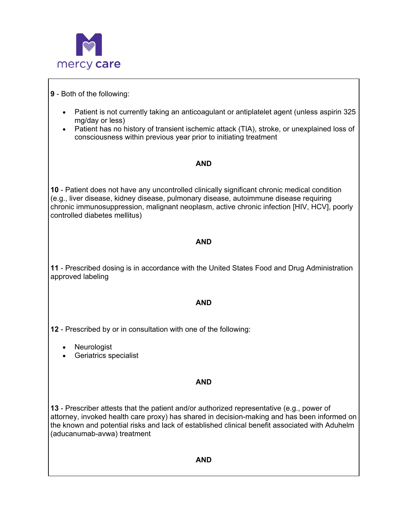

## **9** - Both of the following:

- Patient is not currently taking an anticoagulant or antiplatelet agent (unless aspirin 325 mg/day or less)
- Patient has no history of transient ischemic attack (TIA), stroke, or unexplained loss of consciousness within previous year prior to initiating treatment

### **AND**

**10** - Patient does not have any uncontrolled clinically significant chronic medical condition (e.g., liver disease, kidney disease, pulmonary disease, autoimmune disease requiring chronic immunosuppression, malignant neoplasm, active chronic infection [HIV, HCV], poorly controlled diabetes mellitus)

### **AND**

**11** - Prescribed dosing is in accordance with the United States Food and Drug Administration approved labeling

### **AND**

**12** - Prescribed by or in consultation with one of the following:

- **Neurologist**
- Geriatrics specialist

### **AND**

**13** - Prescriber attests that the patient and/or authorized representative (e.g., power of attorney, invoked health care proxy) has shared in decision-making and has been informed on the known and potential risks and lack of established clinical benefit associated with Aduhelm (aducanumab-avwa) treatment

#### **AND**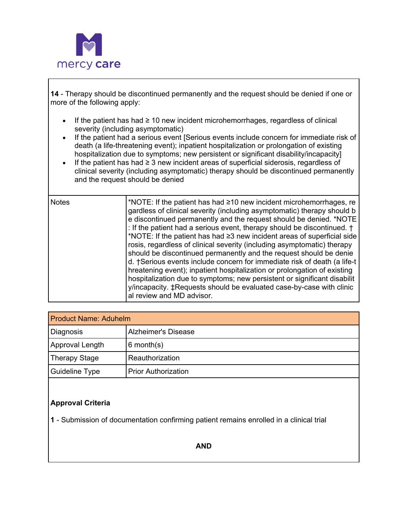

**14** - Therapy should be discontinued permanently and the request should be denied if one or more of the following apply:

- If the patient has had ≥ 10 new incident microhemorrhages, regardless of clinical severity (including asymptomatic)
- If the patient had a serious event [Serious events include concern for immediate risk of death (a life-threatening event); inpatient hospitalization or prolongation of existing hospitalization due to symptoms; new persistent or significant disability/incapacity]
- If the patient has had ≥ 3 new incident areas of superficial siderosis, regardless of clinical severity (including asymptomatic) therapy should be discontinued permanently and the request should be denied

| <b>Notes</b> | *NOTE: If the patient has had ≥10 new incident microhemorrhages, re<br>gardless of clinical severity (including asymptomatic) therapy should b<br>e discontinued permanently and the request should be denied. *NOTE<br>: If the patient had a serious event, therapy should be discontinued. †<br>*NOTE: If the patient has had ≥3 new incident areas of superficial side<br>rosis, regardless of clinical severity (including asymptomatic) therapy<br>should be discontinued permanently and the request should be denie<br>d. †Serious events include concern for immediate risk of death (a life-t<br>hreatening event); inpatient hospitalization or prolongation of existing<br>hospitalization due to symptoms; new persistent or significant disabilit<br>y/incapacity. ‡Requests should be evaluated case-by-case with clinic |
|--------------|-----------------------------------------------------------------------------------------------------------------------------------------------------------------------------------------------------------------------------------------------------------------------------------------------------------------------------------------------------------------------------------------------------------------------------------------------------------------------------------------------------------------------------------------------------------------------------------------------------------------------------------------------------------------------------------------------------------------------------------------------------------------------------------------------------------------------------------------|
|              | al review and MD advisor.                                                                                                                                                                                                                                                                                                                                                                                                                                                                                                                                                                                                                                                                                                                                                                                                               |

| <b>Product Name: Aduhelm</b> |                            |  |
|------------------------------|----------------------------|--|
| Diagnosis                    | <b>Alzheimer's Disease</b> |  |
| Approval Length              | $6$ month $(s)$            |  |
| <b>Therapy Stage</b>         | Reauthorization            |  |
| Guideline Type               | <b>Prior Authorization</b> |  |

# **Approval Criteria**

**1** - Submission of documentation confirming patient remains enrolled in a clinical trial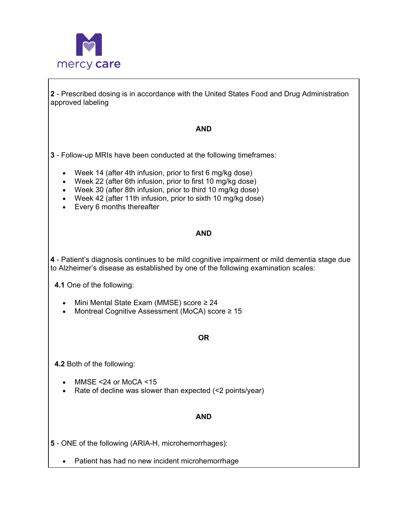

**2** - Prescribed dosing is in accordance with the United States Food and Drug Administration approved labeling

#### **AND**

- **3**  Follow-up MRIs have been conducted at the following timeframes:
	- Week 14 (after 4th infusion, prior to first 6 mg/kg dose)
	- Week 22 (after 6th infusion, prior to first 10 mg/kg dose)
	- Week 30 (after 8th infusion, prior to third 10 mg/kg dose)
	- Week 42 (after 11th infusion, prior to sixth 10 mg/kg dose)
	- Every 6 months thereafter

#### **AND**

 **4** - Patient's diagnosis continues to be mild cognitive impairment or mild dementia stage due to Alzheimer's disease as established by one of the following examination scales:

**4.1** One of the following:

- Mini Mental State Exam (MMSE) score ≥ 24
- Montreal Cognitive Assessment (MoCA) score ≥ 15

### **OR**

**4.2** Both of the following:

- MMSE <24 or MoCA <15
- Rate of decline was slower than expected (<2 points/year)

# **AND**

**5** - ONE of the following (ARIA-H, microhemorrhages):

• Patient has had no new incident microhemorrhage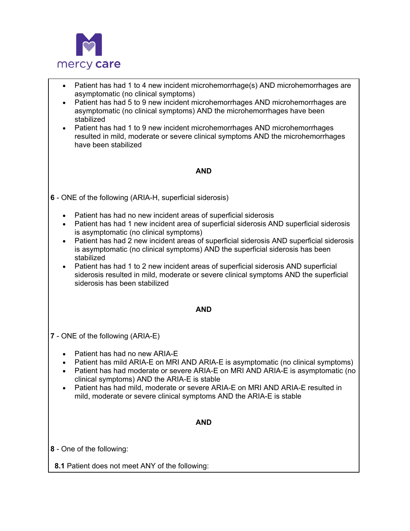

| Patient has had 1 to 4 new incident microhemorrhage(s) AND microhemorrhages are<br>$\bullet$<br>asymptomatic (no clinical symptoms)<br>Patient has had 5 to 9 new incident microhemorrhages AND microhemorrhages are<br>asymptomatic (no clinical symptoms) AND the microhemorrhages have been<br>stabilized<br>Patient has had 1 to 9 new incident microhemorrhages AND microhemorrhages<br>$\bullet$<br>resulted in mild, moderate or severe clinical symptoms AND the microhemorrhages<br>have been stabilized |  |  |
|-------------------------------------------------------------------------------------------------------------------------------------------------------------------------------------------------------------------------------------------------------------------------------------------------------------------------------------------------------------------------------------------------------------------------------------------------------------------------------------------------------------------|--|--|
| <b>AND</b>                                                                                                                                                                                                                                                                                                                                                                                                                                                                                                        |  |  |
| 6 - ONE of the following (ARIA-H, superficial siderosis)                                                                                                                                                                                                                                                                                                                                                                                                                                                          |  |  |
| Patient has had no new incident areas of superficial siderosis<br>$\bullet$<br>Patient has had 1 new incident area of superficial siderosis AND superficial siderosis<br>is asymptomatic (no clinical symptoms)<br>Patient has had 2 new incident areas of superficial siderosis AND superficial siderosis<br>$\bullet$<br>is asymptomatic (no clinical symptoms) AND the superficial siderosis has been<br>stabilized                                                                                            |  |  |
| Patient has had 1 to 2 new incident areas of superficial siderosis AND superficial<br>siderosis resulted in mild, moderate or severe clinical symptoms AND the superficial<br>siderosis has been stabilized                                                                                                                                                                                                                                                                                                       |  |  |
| <b>AND</b>                                                                                                                                                                                                                                                                                                                                                                                                                                                                                                        |  |  |
| 7 - ONE of the following (ARIA-E)                                                                                                                                                                                                                                                                                                                                                                                                                                                                                 |  |  |
| Patient has had no new ARIA-E<br>$\bullet$<br>Patient has mild ARIA-E on MRI AND ARIA-E is asymptomatic (no clinical symptoms)<br>$\bullet$<br>Patient has had moderate or severe ARIA-E on MRI AND ARIA-E is asymptomatic (no<br>clinical symptoms) AND the ARIA-E is stable<br>Patient has had mild, moderate or severe ARIA-E on MRI AND ARIA-E resulted in<br>mild, moderate or severe clinical symptoms AND the ARIA-E is stable                                                                             |  |  |
| <b>AND</b>                                                                                                                                                                                                                                                                                                                                                                                                                                                                                                        |  |  |
| 8 - One of the following:                                                                                                                                                                                                                                                                                                                                                                                                                                                                                         |  |  |
| 8.1 Patient does not meet ANY of the following:                                                                                                                                                                                                                                                                                                                                                                                                                                                                   |  |  |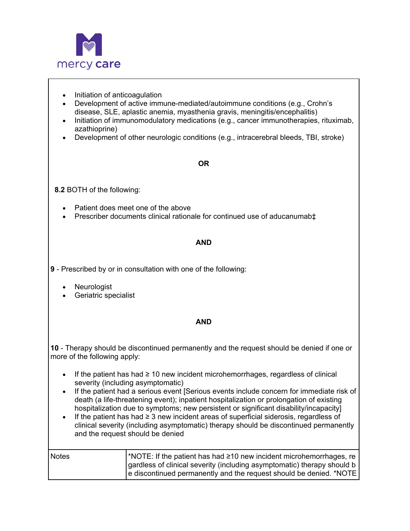

- Initiation of anticoagulation
- Development of active immune-mediated/autoimmune conditions (e.g., Crohn's disease, SLE, aplastic anemia, myasthenia gravis, meningitis/encephalitis)
- Initiation of immunomodulatory medications (e.g., cancer immunotherapies, rituximab, azathioprine)
- Development of other neurologic conditions (e.g., intracerebral bleeds, TBI, stroke)

#### **OR**

**8.2** BOTH of the following:

- Patient does meet one of the above
- Prescriber documents clinical rationale for continued use of aducanumab‡

### **AND**

**9** - Prescribed by or in consultation with one of the following:

- **Neurologist**
- Geriatric specialist

### **AND**

**10** - Therapy should be discontinued permanently and the request should be denied if one or more of the following apply:

- If the patient has had ≥ 10 new incident microhemorrhages, regardless of clinical severity (including asymptomatic)
- If the patient had a serious event [Serious events include concern for immediate risk of death (a life-threatening event); inpatient hospitalization or prolongation of existing hospitalization due to symptoms; new persistent or significant disability/incapacity]
- If the patient has had ≥ 3 new incident areas of superficial siderosis, regardless of clinical severity (including asymptomatic) therapy should be discontinued permanently and the request should be denied

| <b>Notes</b> | <b>NOTE:</b> If the patient has had $\geq 10$ new incident microhemorrhages, re |
|--------------|---------------------------------------------------------------------------------|
|              | gardless of clinical severity (including asymptomatic) therapy should b         |
|              | e discontinued permanently and the request should be denied. *NOTE              |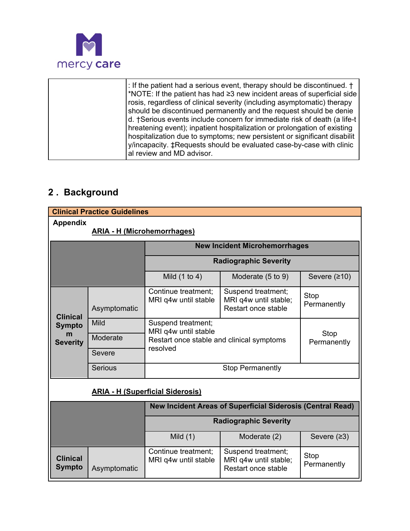

|  | : If the patient had a serious event, therapy should be discontinued. †<br>*NOTE: If the patient has had $\geq$ 3 new incident areas of superficial side<br>rosis, regardless of clinical severity (including asymptomatic) therapy<br>should be discontinued permanently and the request should be denie<br>d. †Serious events include concern for immediate risk of death (a life-t<br>hreatening event); inpatient hospitalization or prolongation of existing<br>hospitalization due to symptoms; new persistent or significant disabilit<br>y/incapacity. ‡Requests should be evaluated case-by-case with clinic<br>al review and MD advisor. |
|--|----------------------------------------------------------------------------------------------------------------------------------------------------------------------------------------------------------------------------------------------------------------------------------------------------------------------------------------------------------------------------------------------------------------------------------------------------------------------------------------------------------------------------------------------------------------------------------------------------------------------------------------------------|
|--|----------------------------------------------------------------------------------------------------------------------------------------------------------------------------------------------------------------------------------------------------------------------------------------------------------------------------------------------------------------------------------------------------------------------------------------------------------------------------------------------------------------------------------------------------------------------------------------------------------------------------------------------------|

# **2 . Background**

|                                                       | <b>Clinical Practice Guidelines</b> |                                                       |                                                                    |                     |
|-------------------------------------------------------|-------------------------------------|-------------------------------------------------------|--------------------------------------------------------------------|---------------------|
| <b>Appendix</b><br><b>ARIA - H (Microhemorrhages)</b> |                                     |                                                       |                                                                    |                     |
|                                                       |                                     |                                                       | <b>New Incident Microhemorrhages</b>                               |                     |
|                                                       |                                     |                                                       | <b>Radiographic Severity</b>                                       |                     |
|                                                       |                                     | Mild $(1 to 4)$                                       | Moderate (5 to 9)                                                  | Severe $(210)$      |
| <b>Clinical</b>                                       | Asymptomatic                        | Continue treatment;<br>MRI q4w until stable           | Suspend treatment;<br>MRI q4w until stable;<br>Restart once stable | Stop<br>Permanently |
| <b>Sympto</b><br>m                                    | Mild                                | Suspend treatment;<br>MRI q4w until stable            |                                                                    | Stop                |
| <b>Severity</b>                                       | Moderate                            | Restart once stable and clinical symptoms<br>resolved |                                                                    | Permanently         |
|                                                       | Severe                              |                                                       |                                                                    |                     |
|                                                       | <b>Serious</b>                      |                                                       | <b>Stop Permanently</b>                                            |                     |
| <b>ARIA - H (Superficial Siderosis)</b>               |                                     |                                                       |                                                                    |                     |
|                                                       |                                     |                                                       | <b>New Incident Areas of Superficial Siderosis (Central Read)</b>  |                     |
|                                                       |                                     | <b>Radiographic Severity</b>                          |                                                                    |                     |
|                                                       |                                     | Mild $(1)$                                            | Moderate (2)                                                       | Severe $(23)$       |
| <b>Clinical</b><br><b>Sympto</b>                      | Asymptomatic                        | Continue treatment;<br>MRI q4w until stable           | Suspend treatment;<br>MRI q4w until stable;<br>Restart once stable | Stop<br>Permanently |